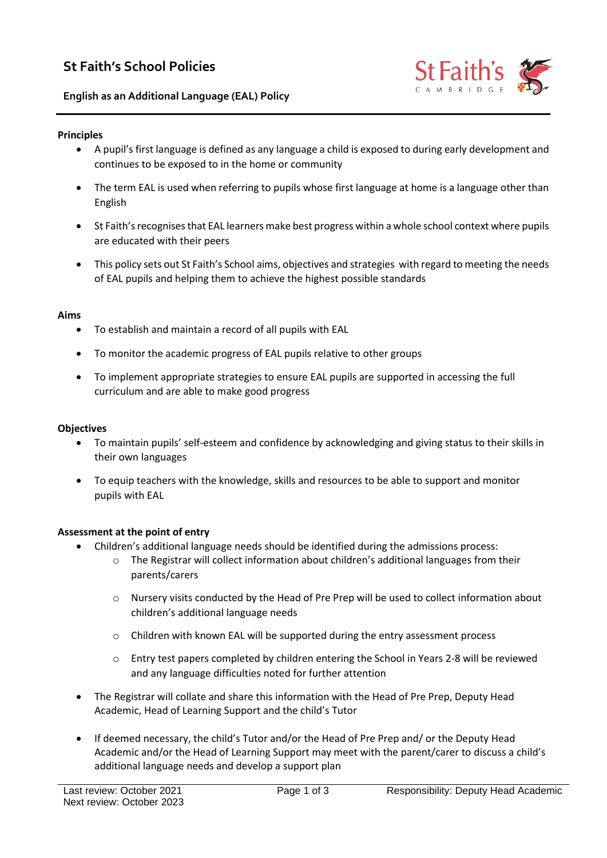# **St Faith's School Policies**

## **English as an Additional Language (EAL) Policy**



#### **Principles**

- A pupil's first language is defined as any language a child is exposed to during early development and continues to be exposed to in the home or community
- The term EAL is used when referring to pupils whose first language at home is a language other than English
- St Faith's recognises that EAL learners make best progress within a whole school context where pupils are educated with their peers
- This policy sets out St Faith's School aims, objectives and strategies with regard to meeting the needs of EAL pupils and helping them to achieve the highest possible standards

## **Aims**

- To establish and maintain a record of all pupils with EAL
- To monitor the academic progress of EAL pupils relative to other groups
- To implement appropriate strategies to ensure EAL pupils are supported in accessing the full curriculum and are able to make good progress

#### **Objectives**

- To maintain pupils' self-esteem and confidence by acknowledging and giving status to their skills in their own languages
- To equip teachers with the knowledge, skills and resources to be able to support and monitor pupils with EAL

#### **Assessment at the point of entry**

- Children's additional language needs should be identified during the admissions process:
	- $\circ$  The Registrar will collect information about children's additional languages from their parents/carers
	- $\circ$  Nursery visits conducted by the Head of Pre Prep will be used to collect information about children's additional language needs
	- o Children with known EAL will be supported during the entry assessment process
	- o Entry test papers completed by children entering the School in Years 2-8 will be reviewed and any language difficulties noted for further attention
- The Registrar will collate and share this information with the Head of Pre Prep, Deputy Head Academic, Head of Learning Support and the child's Tutor
- If deemed necessary, the child's Tutor and/or the Head of Pre Prep and/ or the Deputy Head Academic and/or the Head of Learning Support may meet with the parent/carer to discuss a child's additional language needs and develop a support plan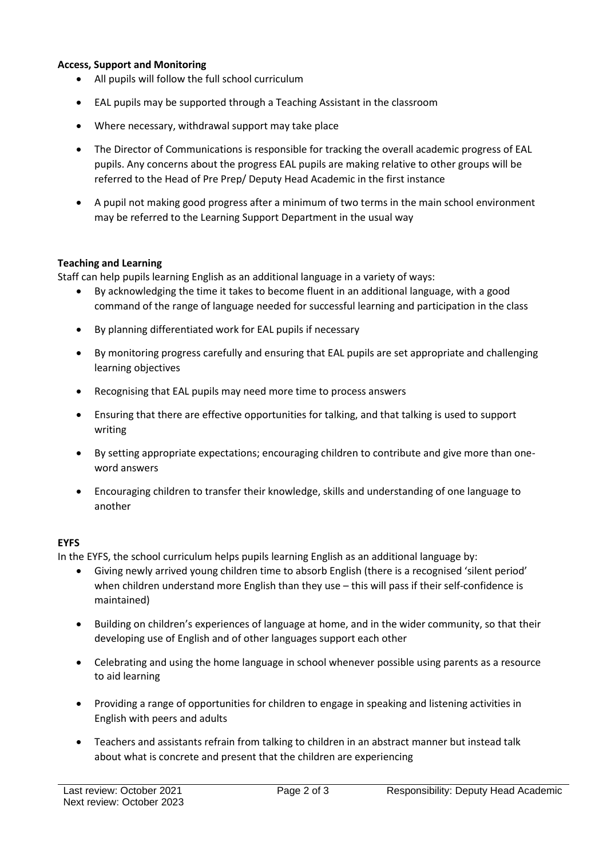## **Access, Support and Monitoring**

- All pupils will follow the full school curriculum
- EAL pupils may be supported through a Teaching Assistant in the classroom
- Where necessary, withdrawal support may take place
- The Director of Communications is responsible for tracking the overall academic progress of EAL pupils. Any concerns about the progress EAL pupils are making relative to other groups will be referred to the Head of Pre Prep/ Deputy Head Academic in the first instance
- A pupil not making good progress after a minimum of two terms in the main school environment may be referred to the Learning Support Department in the usual way

## **Teaching and Learning**

Staff can help pupils learning English as an additional language in a variety of ways:

- By acknowledging the time it takes to become fluent in an additional language, with a good command of the range of language needed for successful learning and participation in the class
- By planning differentiated work for EAL pupils if necessary
- By monitoring progress carefully and ensuring that EAL pupils are set appropriate and challenging learning objectives
- Recognising that EAL pupils may need more time to process answers
- Ensuring that there are effective opportunities for talking, and that talking is used to support writing
- By setting appropriate expectations; encouraging children to contribute and give more than oneword answers
- Encouraging children to transfer their knowledge, skills and understanding of one language to another

## **EYFS**

In the EYFS, the school curriculum helps pupils learning English as an additional language by:

- Giving newly arrived young children time to absorb English (there is a recognised 'silent period' when children understand more English than they use – this will pass if their self-confidence is maintained)
- Building on children's experiences of language at home, and in the wider community, so that their developing use of English and of other languages support each other
- Celebrating and using the home language in school whenever possible using parents as a resource to aid learning
- Providing a range of opportunities for children to engage in speaking and listening activities in English with peers and adults
- Teachers and assistants refrain from talking to children in an abstract manner but instead talk about what is concrete and present that the children are experiencing